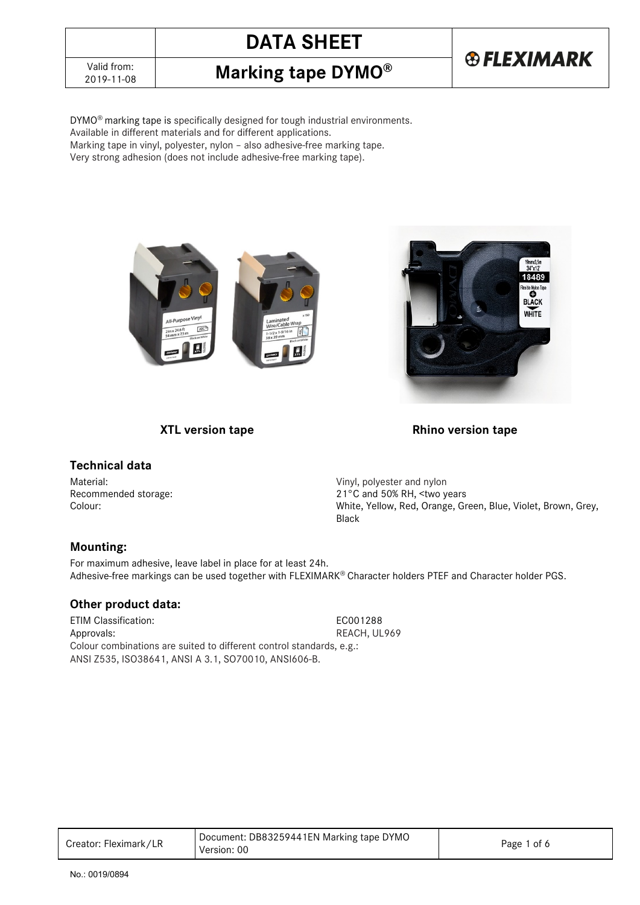

DYMO® marking tape is specifically designed for tough industrial environments. Available in different materials and for different applications. Marking tape in vinyl, polyester, nylon – also adhesive-free marking tape.

Very strong adhesion (does not include adhesive-free marking tape).





**®FLEXIMARK** 

 **XTL version tape Rhino version tape Rhino version tape** 

## **Technical data**

Material: Material: Example 2012 11: Material: Vinyl, polyester and nylon

Recommended storage: 21°C and 50% RH, <two years Colour: White, Yellow, Red, Orange, Green, Blue, Violet, Brown, Grey, Black

## **Mounting:**

For maximum adhesive, leave label in place for at least 24h. Adhesive-free markings can be used together with FLEXIMARK® Character holders PTEF and Character holder PGS.

## **Other product data:**

ETIM Classification: EC001288 Approvals: REACH, UL969 Colour combinations are suited to different control standards, e.g.: ANSI Z535, ISO38641, ANSI A 3.1, SO70010, ANSI606-B.

| Creator: Fleximark/LR | Document: DB83259441EN Marking tape DYMO<br>Version: 00 | Page 1 of 6 |
|-----------------------|---------------------------------------------------------|-------------|
|-----------------------|---------------------------------------------------------|-------------|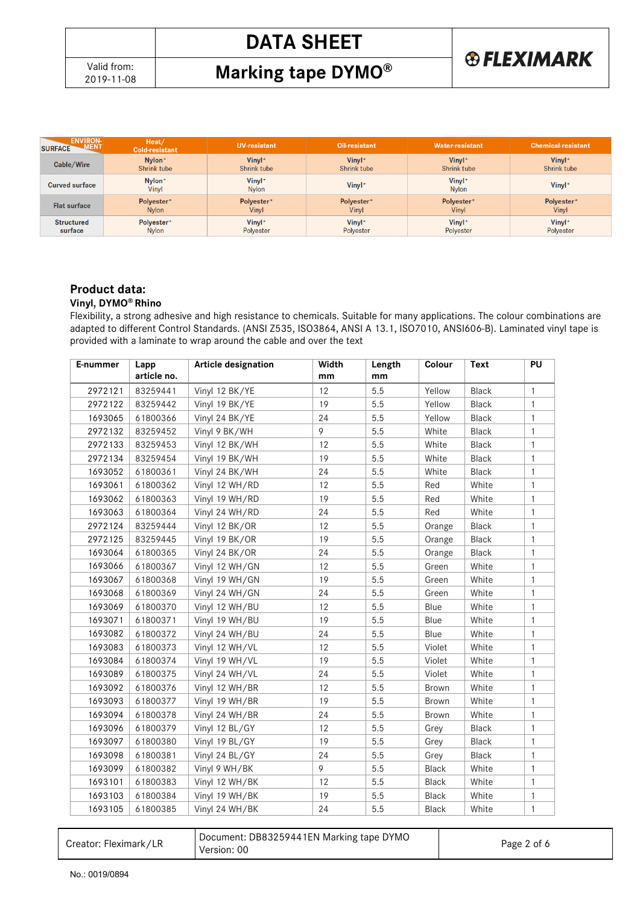**Marking tape DYMO®** 



| <b>ENVIRON-</b><br><b>MENT</b><br><b>SURFACE</b> | Heat/<br>Cold-resistant | <b>UV-resistant</b>    | Oil-resistant | Water-resistant        | <b>Chemical-resistant</b> |
|--------------------------------------------------|-------------------------|------------------------|---------------|------------------------|---------------------------|
| Cable/Wire                                       | Nylon*                  | Vinyl*                 | Vinyl*        | Vinyl*                 | Vinyl*                    |
|                                                  | Shrink tube             | Shrink tube            | Shrink tube   | Shrink tube            | Shrink tube               |
| <b>Curved surface</b>                            | Nylon*<br>Vinyl         | Vinyl*<br><b>Nylon</b> | Vinyl*        | Vinyl*<br><b>Nylon</b> | Vinyl*                    |
| <b>Flat surface</b>                              | Polyester*              | Polyester*             | Polyester*    | Polyester*             | Polyester*                |
|                                                  | <b>Nylon</b>            | Vinyl                  | Vinyl         | <b>Vinyl</b>           | Vinyl                     |
| <b>Structured</b>                                | Polyester*              | Vinyl*                 | Vinyl*        | Vinyl*                 | Vinyl*                    |
| surface                                          | <b>Nylon</b>            | Polyester              | Polyester     | Polyester              | Polyester                 |

## **Product data:**

#### **Vinyl, DYMO® Rhino**

Flexibility, a strong adhesive and high resistance to chemicals. Suitable for many applications. The colour combinations are adapted to different Control Standards. (ANSI Z535, ISO3864, ANSI A 13.1, ISO7010, ANSI606-B). Laminated vinyl tape is provided with a laminate to wrap around the cable and over the text

| E-nummer | Lapp        | <b>Article designation</b> | Width | Length | Colour       | Text         | PU           |
|----------|-------------|----------------------------|-------|--------|--------------|--------------|--------------|
|          | article no. |                            | mm    | mm     |              |              |              |
| 2972121  | 83259441    | Vinyl 12 BK/YE             | 12    | 5.5    | Yellow       | <b>Black</b> | 1            |
| 2972122  | 83259442    | Vinyl 19 BK/YE             | 19    | 5.5    | Yellow       | <b>Black</b> | 1            |
| 1693065  | 61800366    | Vinyl 24 BK/YE             | 24    | 5.5    | Yellow       | <b>Black</b> | 1            |
| 2972132  | 83259452    | Vinyl 9 BK/WH              | 9     | 5.5    | White        | Black        | 1            |
| 2972133  | 83259453    | Vinyl 12 BK/WH             | 12    | 5.5    | White        | <b>Black</b> | 1            |
| 2972134  | 83259454    | Vinyl 19 BK/WH             | 19    | 5.5    | White        | <b>Black</b> | 1            |
| 1693052  | 61800361    | Vinyl 24 BK/WH             | 24    | 5.5    | White        | <b>Black</b> | 1            |
| 1693061  | 61800362    | Vinyl 12 WH/RD             | 12    | 5.5    | Red          | White        | 1            |
| 1693062  | 61800363    | Vinyl 19 WH/RD             | 19    | 5.5    | Red          | White        | 1            |
| 1693063  | 61800364    | Vinyl 24 WH/RD             | 24    | 5.5    | Red          | White        | 1            |
| 2972124  | 83259444    | Vinyl 12 BK/OR             | 12    | 5.5    | Orange       | <b>Black</b> | 1            |
| 2972125  | 83259445    | Vinyl 19 BK/OR             | 19    | 5.5    | Orange       | <b>Black</b> | 1            |
| 1693064  | 61800365    | Vinyl 24 BK/OR             | 24    | 5.5    | Orange       | Black        | 1            |
| 1693066  | 61800367    | Vinyl 12 WH/GN             | 12    | 5.5    | Green        | White        | 1            |
| 1693067  | 61800368    | Vinyl 19 WH/GN             | 19    | 5.5    | Green        | White        | 1            |
| 1693068  | 61800369    | Vinyl 24 WH/GN             | 24    | 5.5    | Green        | White        | $\mathbf{1}$ |
| 1693069  | 61800370    | Vinyl 12 WH/BU             | 12    | 5.5    | Blue         | White        | $\mathbf{1}$ |
| 1693071  | 61800371    | Vinyl 19 WH/BU             | 19    | 5.5    | Blue         | White        | 1            |
| 1693082  | 61800372    | Vinyl 24 WH/BU             | 24    | 5.5    | Blue         | White        | 1            |
| 1693083  | 61800373    | Vinyl 12 WH/VL             | 12    | 5.5    | Violet       | White        | 1            |
| 1693084  | 61800374    | Vinyl 19 WH/VL             | 19    | 5.5    | Violet       | White        | 1            |
| 1693089  | 61800375    | Vinyl 24 WH/VL             | 24    | 5.5    | Violet       | White        | 1            |
| 1693092  | 61800376    | Vinyl 12 WH/BR             | 12    | 5.5    | Brown        | White        | $\mathbf{1}$ |
| 1693093  | 61800377    | Vinyl 19 WH/BR             | 19    | 5.5    | <b>Brown</b> | White        | 1            |
| 1693094  | 61800378    | Vinyl 24 WH/BR             | 24    | 5.5    | Brown        | White        | 1            |
| 1693096  | 61800379    | Vinyl 12 BL/GY             | 12    | 5.5    | Grey         | <b>Black</b> | 1            |
| 1693097  | 61800380    | Vinyl 19 BL/GY             | 19    | 5.5    | Grey         | <b>Black</b> | 1            |
| 1693098  | 61800381    | Vinyl 24 BL/GY             | 24    | 5.5    | Grey         | <b>Black</b> | $\mathbf{1}$ |
| 1693099  | 61800382    | Vinyl 9 WH/BK              | 9     | 5.5    | Black        | White        | 1            |
| 1693101  | 61800383    | Vinyl 12 WH/BK             | 12    | 5.5    | <b>Black</b> | White        | 1            |
| 1693103  | 61800384    | Vinyl 19 WH/BK             | 19    | 5.5    | Black        | White        | 1            |
| 1693105  | 61800385    | Vinyl 24 WH/BK             | 24    | 5.5    | Black        | White        | 1            |

| Creator: Fleximark/LR | Document: DB83259441EN Marking tape DYMO<br>Version: 00 | Page 2 of 6 |
|-----------------------|---------------------------------------------------------|-------------|
|-----------------------|---------------------------------------------------------|-------------|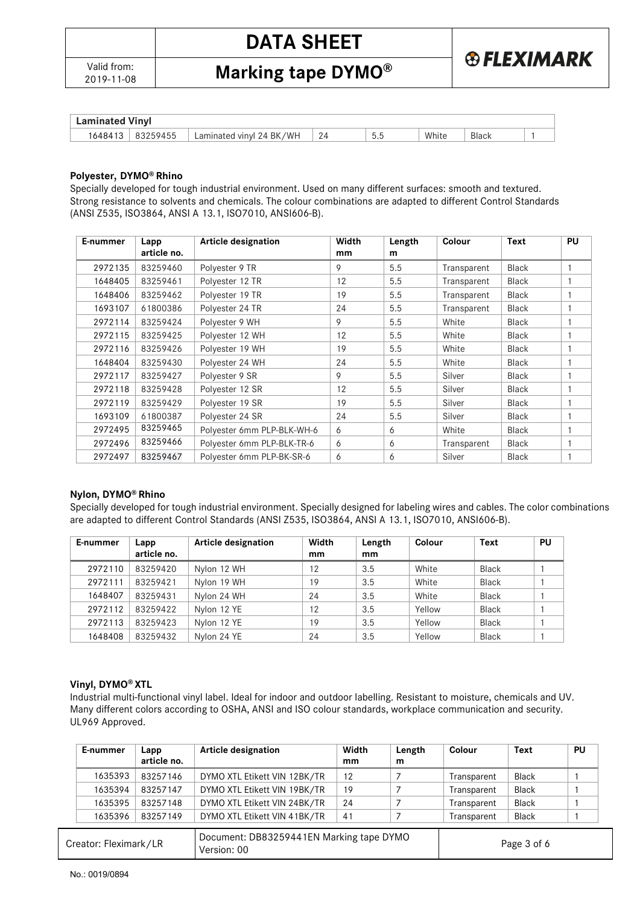

**Marking tape DYMO®** 

| Laminated    | Vınvl    |                                         |          |             |       |              |  |
|--------------|----------|-----------------------------------------|----------|-------------|-------|--------------|--|
| 16484<br>ن ا | 83259455 | /WH<br>BK<br>Z4 1<br>Laminated<br>vinvl | 24<br>∠¬ | n n<br>ັບເປ | White | <b>Black</b> |  |

#### **Polyester, DYMO® Rhino**

Specially developed for tough industrial environment. Used on many different surfaces: smooth and textured. Strong resistance to solvents and chemicals. The colour combinations are adapted to different Control Standards (ANSI Z535, ISO3864, ANSI A 13.1, ISO7010, ANSI606-B).

| E-nummer | Lapp<br>article no. | <b>Article designation</b> | Width<br>mm | Length<br>m | Colour      | <b>Text</b>  | <b>PU</b> |
|----------|---------------------|----------------------------|-------------|-------------|-------------|--------------|-----------|
| 2972135  | 83259460            | Polyester 9 TR             | 9           | 5.5         | Transparent | <b>Black</b> |           |
| 1648405  | 83259461            | Polyester 12 TR            | 12          | 5.5         | Transparent | <b>Black</b> |           |
| 1648406  | 83259462            | Polyester 19 TR            | 19          | 5.5         | Transparent | <b>Black</b> |           |
| 1693107  | 61800386            | Polyester 24 TR            | 24          | 5.5         | Transparent | <b>Black</b> |           |
| 2972114  | 83259424            | Polyester 9 WH             | 9           | 5.5         | White       | <b>Black</b> |           |
| 2972115  | 83259425            | Polyester 12 WH            | 12          | 5.5         | White       | <b>Black</b> |           |
| 2972116  | 83259426            | Polyester 19 WH            | 19          | 5.5         | White       | <b>Black</b> |           |
| 1648404  | 83259430            | Polyester 24 WH            | 24          | 5.5         | White       | Black        |           |
| 2972117  | 83259427            | Polyester 9 SR             | 9           | 5.5         | Silver      | <b>Black</b> |           |
| 2972118  | 83259428            | Polyester 12 SR            | 12          | 5.5         | Silver      | <b>Black</b> |           |
| 2972119  | 83259429            | Polyester 19 SR            | 19          | 5.5         | Silver      | <b>Black</b> |           |
| 1693109  | 61800387            | Polyester 24 SR            | 24          | 5.5         | Silver      | <b>Black</b> |           |
| 2972495  | 83259465            | Polyester 6mm PLP-BLK-WH-6 | 6           | 6           | White       | <b>Black</b> |           |
| 2972496  | 83259466            | Polyester 6mm PLP-BLK-TR-6 | 6           | 6           | Transparent | <b>Black</b> |           |
| 2972497  | 83259467            | Polyester 6mm PLP-BK-SR-6  | 6           | 6           | Silver      | <b>Black</b> |           |

#### **Nylon, DYMO® Rhino**

Specially developed for tough industrial environment. Specially designed for labeling wires and cables. The color combinations are adapted to different Control Standards (ANSI Z535, ISO3864, ANSI A 13.1, ISO7010, ANSI606-B).

| E-nummer | Lapp        | Article designation | Width | Length | Colour | Text         | PU |
|----------|-------------|---------------------|-------|--------|--------|--------------|----|
|          | article no. |                     | mm    | mm     |        |              |    |
| 2972110  | 83259420    | Nylon 12 WH         | 12    | 3.5    | White  | <b>Black</b> |    |
| 2972111  | 83259421    | Nylon 19 WH         | 19    | 3.5    | White  | <b>Black</b> |    |
| 1648407  | 83259431    | Nylon 24 WH         | 24    | 3.5    | White  | <b>Black</b> |    |
| 2972112  | 83259422    | Nylon 12 YE         | 12    | 3.5    | Yellow | <b>Black</b> |    |
| 2972113  | 83259423    | Nylon 12 YE         | 19    | 3.5    | Yellow | <b>Black</b> |    |
| 1648408  | 83259432    | Nylon 24 YE         | 24    | 3.5    | Yellow | <b>Black</b> |    |

#### **Vinyl, DYMO® XTL**

Industrial multi-functional vinyl label. Ideal for indoor and outdoor labelling. Resistant to moisture, chemicals and UV. Many different colors according to OSHA, ANSI and ISO colour standards, workplace communication and security. UL969 Approved.

| E-nummer              | Lapp<br>article no. | Article designation                                     | Width<br>mm | Length<br>m | Colour      | Text         | <b>PU</b> |
|-----------------------|---------------------|---------------------------------------------------------|-------------|-------------|-------------|--------------|-----------|
| 1635393               | 83257146            | DYMO XTL Etikett VIN 12BK/TR                            | 12          |             | Transparent | <b>Black</b> |           |
| 1635394               | 83257147            | DYMO XTL Etikett VIN 19BK/TR                            | 19          |             | Transparent | <b>Black</b> |           |
| 1635395               | 83257148            | DYMO XTL Etikett VIN 24BK/TR                            | 24          |             | Transparent | <b>Black</b> |           |
| 1635396               | 83257149            | DYMO XTL Etikett VIN 41BK/TR                            | 41          |             | Transparent | <b>Black</b> |           |
| Creator: Fleximark/LR |                     | Document: DB83259441EN Marking tape DYMO<br>Version: 00 |             |             |             | Page 3 of 6  |           |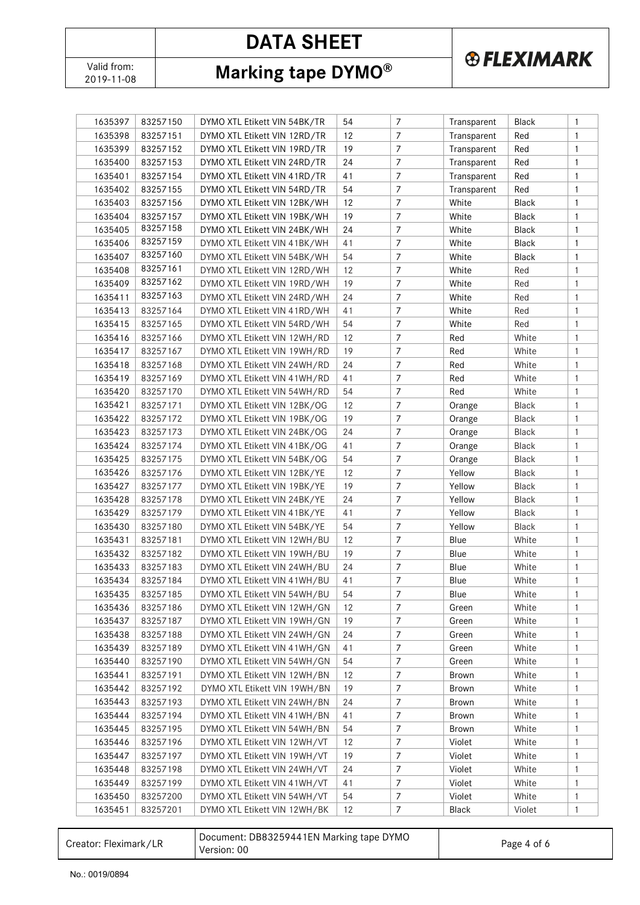Valid from:<br>2019-11-08

**Marking tape DYMO®** 

**®FLEXIMARK** 

| 1635397 | 83257150 | DYMO XTL Etikett VIN 54BK/TR             | 54 | $\overline{7}$   | Transparent | Black                 | $\mathbf{1}$ |
|---------|----------|------------------------------------------|----|------------------|-------------|-----------------------|--------------|
| 1635398 | 83257151 | DYMO XTL Etikett VIN 12RD/TR             | 12 | $\overline{7}$   | Transparent | Red                   | $\mathbf{1}$ |
| 1635399 | 83257152 | DYMO XTL Etikett VIN 19RD/TR             | 19 | $\overline{7}$   | Transparent | Red                   | 1            |
| 1635400 | 83257153 | DYMO XTL Etikett VIN 24RD/TR             | 24 | $\overline{7}$   | Transparent | Red                   | 1            |
| 1635401 | 83257154 | DYMO XTL Etikett VIN 41RD/TR             | 41 | $\overline{7}$   | Transparent | Red                   | $\mathbf{1}$ |
| 1635402 | 83257155 | DYMO XTL Etikett VIN 54RD/TR             | 54 | $\overline{7}$   | Transparent | Red                   | $\mathbf{1}$ |
| 1635403 | 83257156 | DYMO XTL Etikett VIN 12BK/WH             | 12 | 7                | White       | Black                 | 1            |
| 1635404 | 83257157 | DYMO XTL Etikett VIN 19BK/WH             | 19 | $\overline{7}$   | White       | Black                 | 1            |
| 1635405 | 83257158 | DYMO XTL Etikett VIN 24BK/WH             | 24 | $\overline{7}$   | White       | Black                 | 1            |
| 1635406 | 83257159 | DYMO XTL Etikett VIN 41BK/WH             | 41 | $\overline{7}$   | White       | Black                 | $\mathbf{1}$ |
| 1635407 | 83257160 | DYMO XTL Etikett VIN 54BK/WH             | 54 | $\overline{7}$   | White       | Black                 | $\mathbf{1}$ |
| 1635408 | 83257161 | DYMO XTL Etikett VIN 12RD/WH             | 12 | 7                | White       | Red                   | $\mathbf{1}$ |
| 1635409 | 83257162 | DYMO XTL Etikett VIN 19RD/WH             | 19 | $\overline{7}$   | White       | Red                   | $\mathbf{1}$ |
| 1635411 | 83257163 | DYMO XTL Etikett VIN 24RD/WH             | 24 | $\overline{7}$   | White       | Red                   | $\mathbf{1}$ |
| 1635413 | 83257164 | DYMO XTL Etikett VIN 41RD/WH             | 41 | 7                | White       | Red                   | $\mathbf{1}$ |
| 1635415 | 83257165 | DYMO XTL Etikett VIN 54RD/WH             | 54 | $\overline{7}$   | White       | Red                   | $\mathbf{1}$ |
| 1635416 | 83257166 | DYMO XTL Etikett VIN 12WH/RD             | 12 | 7                | Red         | White                 | 1            |
| 1635417 | 83257167 | DYMO XTL Etikett VIN 19WH/RD             | 19 | $\overline{7}$   | Red         | White                 | 1            |
| 1635418 | 83257168 | DYMO XTL Etikett VIN 24WH/RD             | 24 | $\overline{7}$   | Red         | White                 | 1            |
| 1635419 | 83257169 | DYMO XTL Etikett VIN 41WH/RD             | 41 | $\boldsymbol{7}$ | Red         | White                 | $\mathbf{1}$ |
| 1635420 | 83257170 | DYMO XTL Etikett VIN 54WH/RD             | 54 | $\overline{7}$   | Red         | White                 | $\mathbf{1}$ |
| 1635421 | 83257171 | DYMO XTL Etikett VIN 12BK/OG             | 12 | $\overline{7}$   | Orange      | <b>Black</b>          | $\mathbf{1}$ |
| 1635422 | 83257172 | DYMO XTL Etikett VIN 19BK/OG             | 19 | 7                | Orange      | <b>Black</b>          | $\mathbf{1}$ |
| 1635423 | 83257173 | DYMO XTL Etikett VIN 24BK/OG             | 24 | $\overline{7}$   | Orange      | Black                 | $\mathbf{1}$ |
| 1635424 | 83257174 | DYMO XTL Etikett VIN 41BK/OG             | 41 | $\overline{7}$   | Orange      | <b>Black</b>          | $\mathbf{1}$ |
| 1635425 | 83257175 | DYMO XTL Etikett VIN 54BK/OG             | 54 | 7                | Orange      | <b>Black</b>          | $\mathbf{1}$ |
| 1635426 | 83257176 | DYMO XTL Etikett VIN 12BK/YE             | 12 | $\overline{7}$   | Yellow      | <b>Black</b>          | $\mathbf{1}$ |
| 1635427 | 83257177 | DYMO XTL Etikett VIN 19BK/YE             | 19 | 7                | Yellow      | <b>Black</b>          | 1            |
| 1635428 | 83257178 | DYMO XTL Etikett VIN 24BK/YE             | 24 | $\overline{7}$   | Yellow      | <b>Black</b>          | $\mathbf{1}$ |
| 1635429 | 83257179 | DYMO XTL Etikett VIN 41BK/YE             | 41 | $\overline{7}$   | Yellow      | <b>Black</b>          | $\mathbf{1}$ |
|         |          |                                          | 54 | 7                | Yellow      |                       | 1            |
| 1635430 | 83257180 | DYMO XTL Etikett VIN 54BK/YE             |    |                  |             | <b>Black</b><br>White |              |
| 1635431 | 83257181 | DYMO XTL Etikett VIN 12WH/BU             | 12 | $\overline{7}$   | Blue        |                       | $\mathbf{1}$ |
| 1635432 | 83257182 | DYMO XTL Etikett VIN 19WH/BU             | 19 | $\overline{7}$   | Blue        | White                 | $\mathbf{1}$ |
| 1635433 | 83257183 | DYMO XTL Etikett VIN 24WH/BU             | 24 | $\overline{7}$   | Blue        | White                 | $\mathbf{1}$ |
| 1635434 | 83257184 | DYMO XTL Etikett VIN 41WH/BU             | 41 | $\overline{7}$   | Blue        | White                 | 1            |
| 1635435 | 83257185 | DYMO XTL Etikett VIN 54WH/BU             | 54 | $\boldsymbol{7}$ | Blue        | White                 | $\mathbf{1}$ |
| 1635436 | 83257186 | DYMO XTL Etikett VIN 12WH/GN             | 12 | 7                | Green       | White                 | 1            |
| 1635437 | 83257187 | DYMO XTL Etikett VIN 19WH/GN             | 19 | $\overline{7}$   | Green       | White                 | 1            |
| 1635438 | 83257188 | DYMO XTL Etikett VIN 24WH/GN             | 24 | $\overline{7}$   | Green       | White                 | 1            |
| 1635439 | 83257189 | DYMO XTL Etikett VIN 41WH/GN             | 41 | $\overline{7}$   | Green       | White                 | 1            |
| 1635440 | 83257190 | DYMO XTL Etikett VIN 54WH/GN             | 54 | $\overline{7}$   | Green       | White                 | 1            |
| 1635441 | 83257191 | DYMO XTL Etikett VIN 12WH/BN             | 12 | 7                | Brown       | White                 | 1            |
| 1635442 | 83257192 | DYMO XTL Etikett VIN 19WH/BN             | 19 | $\overline{7}$   | Brown       | White                 | 1            |
| 1635443 | 83257193 | DYMO XTL Etikett VIN 24WH/BN             | 24 | $\overline{7}$   | Brown       | White                 | 1            |
| 1635444 | 83257194 | DYMO XTL Etikett VIN 41WH/BN             | 41 | $\overline{7}$   | Brown       | White                 | 1            |
| 1635445 | 83257195 | DYMO XTL Etikett VIN 54WH/BN             | 54 | 7                | Brown       | White                 | 1            |
| 1635446 | 83257196 | DYMO XTL Etikett VIN 12WH/VT             | 12 | $\overline{7}$   | Violet      | White                 | 1            |
| 1635447 | 83257197 | DYMO XTL Etikett VIN 19WH/VT             | 19 | 7                | Violet      | White                 | 1            |
| 1635448 | 83257198 | DYMO XTL Etikett VIN 24WH/VT             | 24 | $\overline{7}$   | Violet      | White                 | 1            |
| 1635449 | 83257199 | DYMO XTL Etikett VIN 41WH/VT             | 41 | $\overline{7}$   | Violet      | White                 | 1            |
| 1635450 | 83257200 | DYMO XTL Etikett VIN 54WH/VT             | 54 | $\boldsymbol{7}$ | Violet      | White                 | 1            |
| 1635451 | 83257201 | DYMO XTL Etikett VIN 12WH/BK             | 12 | 7                | Black       | Violet                | $\mathbf{1}$ |
|         |          |                                          |    |                  |             |                       |              |
|         |          | Document: DR83259441FN Marking tane DYMO |    |                  |             |                       |              |

| Creator: Fleximark/LR | Document: DB83259441EN Marking tape DYMO<br>Version: 00 | Page 4 of 6 |
|-----------------------|---------------------------------------------------------|-------------|
|-----------------------|---------------------------------------------------------|-------------|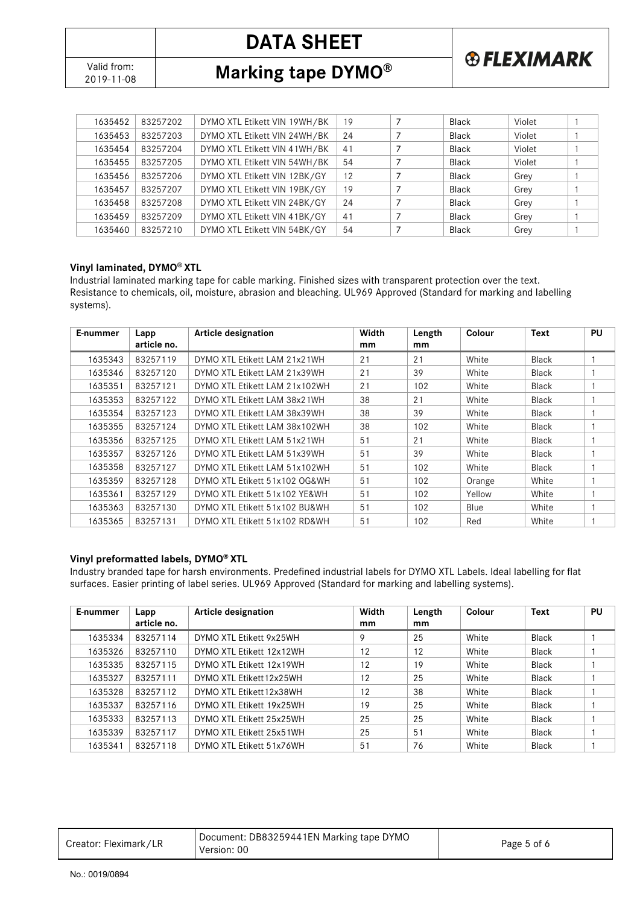Valid from:<br>2019-11-08

**Marking tape DYMO®** 

| 1635452 | 83257202 | DYMO XTL Etikett VIN 19WH/BK | 19 | <b>Black</b> | Violet |  |
|---------|----------|------------------------------|----|--------------|--------|--|
| 1635453 | 83257203 | DYMO XTL Etikett VIN 24WH/BK | 24 | <b>Black</b> | Violet |  |
| 1635454 | 83257204 | DYMO XTL Etikett VIN 41WH/BK | 41 | <b>Black</b> | Violet |  |
| 1635455 | 83257205 | DYMO XTL Etikett VIN 54WH/BK | 54 | <b>Black</b> | Violet |  |
| 1635456 | 83257206 | DYMO XTL Etikett VIN 12BK/GY | 12 | <b>Black</b> | Grey   |  |
| 1635457 | 83257207 | DYMO XTL Etikett VIN 19BK/GY | 19 | <b>Black</b> | Grey   |  |
| 1635458 | 83257208 | DYMO XTL Etikett VIN 24BK/GY | 24 | Black        | Grey   |  |
| 1635459 | 83257209 | DYMO XTL Etikett VIN 41BK/GY | 41 | Black        | Grey   |  |
| 1635460 | 83257210 | DYMO XTL Etikett VIN 54BK/GY | 54 | <b>Black</b> | Grey   |  |

**& FLEXIMARK** 

#### **Vinyl laminated, DYMO® XTL**

Industrial laminated marking tape for cable marking. Finished sizes with transparent protection over the text. Resistance to chemicals, oil, moisture, abrasion and bleaching. UL969 Approved (Standard for marking and labelling systems).

| E-nummer | Lapp        | <b>Article designation</b>    | Width | Length | Colour | <b>Text</b>  | PU |
|----------|-------------|-------------------------------|-------|--------|--------|--------------|----|
|          | article no. |                               | mm    | mm     |        |              |    |
| 1635343  | 83257119    | DYMO XTL Etikett LAM 21x21WH  | 21    | 21     | White  | Black        |    |
| 1635346  | 83257120    | DYMO XTL Etikett LAM 21x39WH  | 21    | 39     | White  | Black        |    |
| 1635351  | 83257121    | DYMO XTL Etikett LAM 21x102WH | 21    | 102    | White  | <b>Black</b> |    |
| 1635353  | 83257122    | DYMO XTL Etikett LAM 38x21WH  | 38    | 21     | White  | <b>Black</b> |    |
| 1635354  | 83257123    | DYMO XTL Etikett LAM 38x39WH  | 38    | 39     | White  | <b>Black</b> |    |
| 1635355  | 83257124    | DYMO XTL Etikett LAM 38x102WH | 38    | 102    | White  | Black        |    |
| 1635356  | 83257125    | DYMO XTL Etikett LAM 51x21WH  | 51    | 21     | White  | Black        |    |
| 1635357  | 83257126    | DYMO XTL Etikett LAM 51x39WH  | 51    | 39     | White  | <b>Black</b> |    |
| 1635358  | 83257127    | DYMO XTL Etikett LAM 51x102WH | 51    | 102    | White  | Black        |    |
| 1635359  | 83257128    | DYMO XTL Etikett 51x102 OG&WH | 51    | 102    | Orange | White        |    |
| 1635361  | 83257129    | DYMO XTL Etikett 51x102 YE&WH | 51    | 102    | Yellow | White        |    |
| 1635363  | 83257130    | DYMO XTL Etikett 51x102 BU&WH | 51    | 102    | Blue   | White        |    |
| 1635365  | 83257131    | DYMO XTL Etikett 51x102 RD&WH | 51    | 102    | Red    | White        |    |

#### **Vinyl preformatted labels, DYMO® XTL**

Industry branded tape for harsh environments. Predefined industrial labels for DYMO XTL Labels. Ideal labelling for flat surfaces. Easier printing of label series. UL969 Approved (Standard for marking and labelling systems).

| E-nummer | Lapp<br>article no. | Article designation      | Width<br>mm | Length<br>mm | Colour | <b>Text</b>  | PU |
|----------|---------------------|--------------------------|-------------|--------------|--------|--------------|----|
| 1635334  | 83257114            | DYMO XTL Etikett 9x25WH  | 9           | 25           | White  | <b>Black</b> |    |
| 1635326  | 83257110            | DYMO XTL Etikett 12x12WH | 12          | 12           | White  | <b>Black</b> |    |
| 1635335  | 83257115            | DYMO XTL Etikett 12x19WH | 12          | 19           | White  | <b>Black</b> |    |
| 1635327  | 83257111            | DYMO XTL Etikett 12x25WH | 12          | 25           | White  | <b>Black</b> |    |
| 1635328  | 83257112            | DYMO XTL Etikett 12x38WH | 12          | 38           | White  | <b>Black</b> |    |
| 1635337  | 83257116            | DYMO XTL Etikett 19x25WH | 19          | 25           | White  | <b>Black</b> |    |
| 1635333  | 83257113            | DYMO XTL Etikett 25x25WH | 25          | 25           | White  | Black        |    |
| 1635339  | 83257117            | DYMO XTL Etikett 25x51WH | 25          | 51           | White  | Black        |    |
| 1635341  | 83257118            | DYMO XTL Etikett 51x76WH | 51          | 76           | White  | <b>Black</b> |    |

| Creator: Fleximark/LR | Document: DB83259441EN Marking tape DYMO<br>Version: 00 | Page 5 of 6 |
|-----------------------|---------------------------------------------------------|-------------|
|-----------------------|---------------------------------------------------------|-------------|